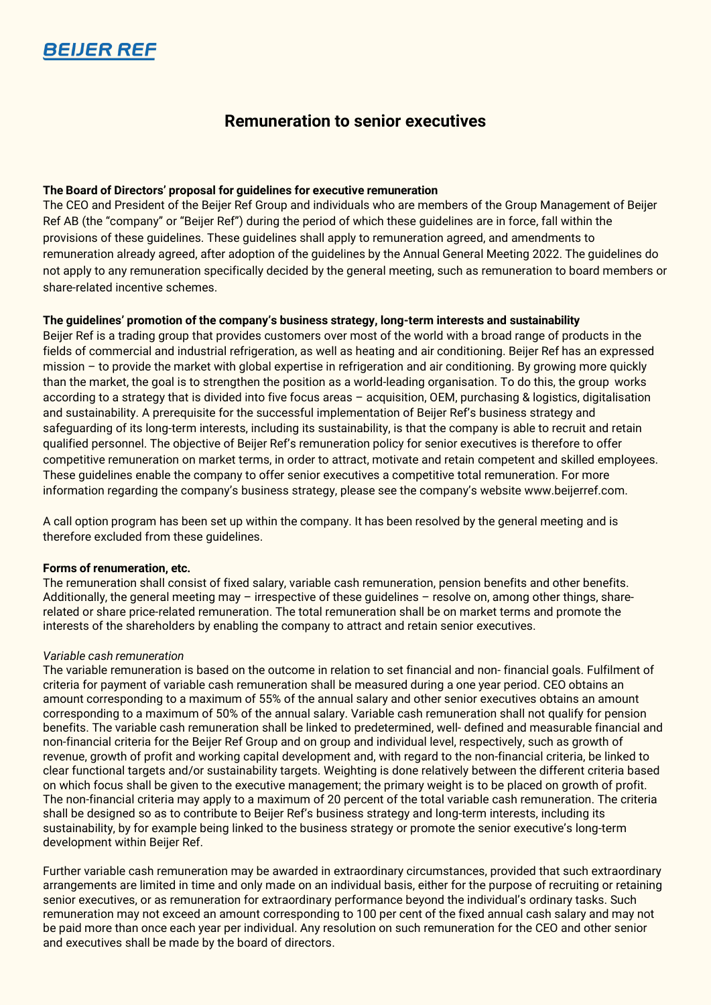

# **Remuneration to senior executives**

## **The Board of Directors' proposal for guidelines for executive remuneration**

The CEO and President of the Beijer Ref Group and individuals who are members of the Group Management of Beijer Ref AB (the "company" or "Beijer Ref") during the period of which these guidelines are in force, fall within the provisions of these guidelines. These guidelines shall apply to remuneration agreed, and amendments to remuneration already agreed, after adoption of the guidelines by the Annual General Meeting 2022. The guidelines do not apply to any remuneration specifically decided by the general meeting, such as remuneration to board members or share-related incentive schemes.

## **The guidelines' promotion of the company's business strategy, long-term interests and sustainability**

Beijer Ref is a trading group that provides customers over most of the world with a broad range of products in the fields of commercial and industrial refrigeration, as well as heating and air conditioning. Beijer Ref has an expressed mission – to provide the market with global expertise in refrigeration and air conditioning. By growing more quickly than the market, the goal is to strengthen the position as a world-leading organisation. To do this, the group works according to a strategy that is divided into five focus areas – acquisition, OEM, purchasing & logistics, digitalisation and sustainability. A prerequisite for the successful implementation of Beijer Ref's business strategy and safeguarding of its long-term interests, including its sustainability, is that the company is able to recruit and retain qualified personnel. The objective of Beijer Ref's remuneration policy for senior executives is therefore to offer competitive remuneration on market terms, in order to attract, motivate and retain competent and skilled employees. These guidelines enable the company to offer senior executives a competitive total remuneration. For more information regarding the company's business strategy, please see the company's website [www.beijerref.com.](http://www.beijerref.com/)

A call option program has been set up within the company. It has been resolved by the general meeting and is therefore excluded from these guidelines.

## **Forms of renumeration, etc.**

The remuneration shall consist of fixed salary, variable cash remuneration, pension benefits and other benefits. Additionally, the general meeting may – irrespective of these guidelines – resolve on, among other things, sharerelated or share price-related remuneration. The total remuneration shall be on market terms and promote the interests of the shareholders by enabling the company to attract and retain senior executives.

## *Variable cash remuneration*

The variable remuneration is based on the outcome in relation to set financial and non- financial goals. Fulfilment of criteria for payment of variable cash remuneration shall be measured during a one year period. CEO obtains an amount corresponding to a maximum of 55% of the annual salary and other senior executives obtains an amount corresponding to a maximum of 50% of the annual salary. Variable cash remuneration shall not qualify for pension benefits. The variable cash remuneration shall be linked to predetermined, well- defined and measurable financial and non-financial criteria for the Beijer Ref Group and on group and individual level, respectively, such as growth of revenue, growth of profit and working capital development and, with regard to the non-financial criteria, be linked to clear functional targets and/or sustainability targets. Weighting is done relatively between the different criteria based on which focus shall be given to the executive management; the primary weight is to be placed on growth of profit. The non-financial criteria may apply to a maximum of 20 percent of the total variable cash remuneration. The criteria shall be designed so as to contribute to Beijer Ref's business strategy and long-term interests, including its sustainability, by for example being linked to the business strategy or promote the senior executive's long-term development within Beijer Ref.

Further variable cash remuneration may be awarded in extraordinary circumstances, provided that such extraordinary arrangements are limited in time and only made on an individual basis, either for the purpose of recruiting or retaining senior executives, or as remuneration for extraordinary performance beyond the individual's ordinary tasks. Such remuneration may not exceed an amount corresponding to 100 per cent of the fixed annual cash salary and may not be paid more than once each year per individual. Any resolution on such remuneration for the CEO and other senior and executives shall be made by the board of directors.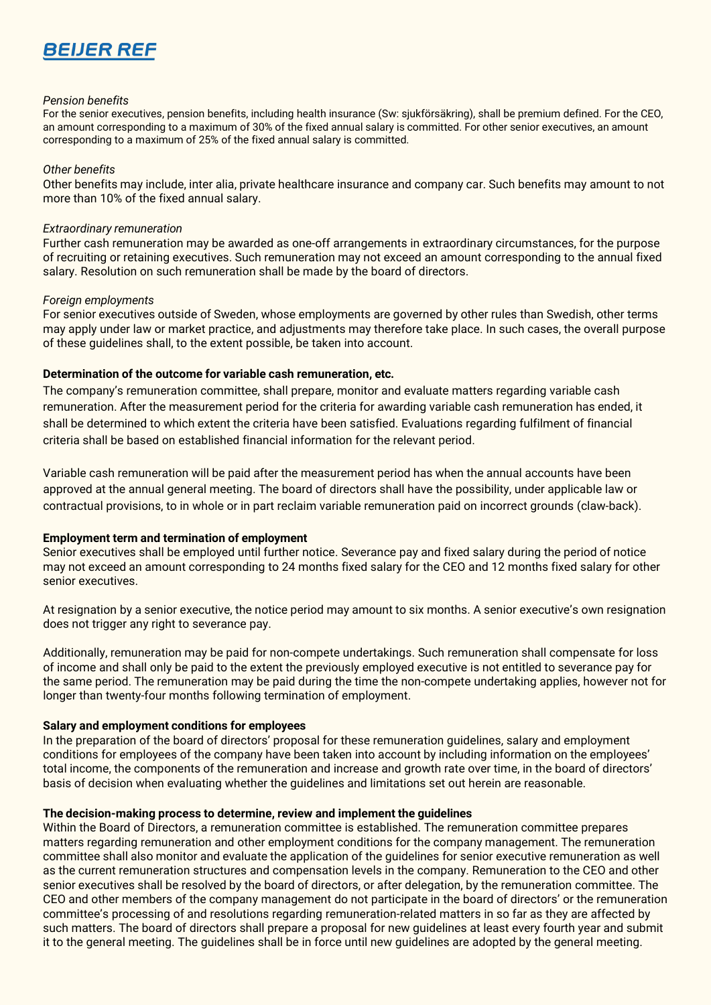

### *Pension benefits*

For the senior executives, pension benefits, including health insurance (Sw: sjukförsäkring), shall be premium defined. For the CEO, an amount corresponding to a maximum of 30% of the fixed annual salary is committed. For other senior executives, an amount corresponding to a maximum of 25% of the fixed annual salary is committed.

### *Other benefits*

Other benefits may include, inter alia, private healthcare insurance and company car. Such benefits may amount to not more than 10% of the fixed annual salary.

### *Extraordinary remuneration*

Further cash remuneration may be awarded as one-off arrangements in extraordinary circumstances, for the purpose of recruiting or retaining executives. Such remuneration may not exceed an amount corresponding to the annual fixed salary. Resolution on such remuneration shall be made by the board of directors.

#### *Foreign employments*

For senior executives outside of Sweden, whose employments are governed by other rules than Swedish, other terms may apply under law or market practice, and adjustments may therefore take place. In such cases, the overall purpose of these guidelines shall, to the extent possible, be taken into account.

## **Determination of the outcome for variable cash remuneration, etc.**

The company's remuneration committee, shall prepare, monitor and evaluate matters regarding variable cash remuneration. After the measurement period for the criteria for awarding variable cash remuneration has ended, it shall be determined to which extent the criteria have been satisfied. Evaluations regarding fulfilment of financial criteria shall be based on established financial information for the relevant period.

Variable cash remuneration will be paid after the measurement period has when the annual accounts have been approved at the annual general meeting. The board of directors shall have the possibility, under applicable law or contractual provisions, to in whole or in part reclaim variable remuneration paid on incorrect grounds (claw-back).

## **Employment term and termination of employment**

Senior executives shall be employed until further notice. Severance pay and fixed salary during the period of notice may not exceed an amount corresponding to 24 months fixed salary for the CEO and 12 months fixed salary for other senior executives.

At resignation by a senior executive, the notice period may amount to six months. A senior executive's own resignation does not trigger any right to severance pay.

Additionally, remuneration may be paid for non-compete undertakings. Such remuneration shall compensate for loss of income and shall only be paid to the extent the previously employed executive is not entitled to severance pay for the same period. The remuneration may be paid during the time the non-compete undertaking applies, however not for longer than twenty-four months following termination of employment.

## **Salary and employment conditions for employees**

In the preparation of the board of directors' proposal for these remuneration guidelines, salary and employment conditions for employees of the company have been taken into account by including information on the employees' total income, the components of the remuneration and increase and growth rate over time, in the board of directors' basis of decision when evaluating whether the guidelines and limitations set out herein are reasonable.

#### **The decision-making process to determine, review and implement the guidelines**

Within the Board of Directors, a remuneration committee is established. The remuneration committee prepares matters regarding remuneration and other employment conditions for the company management. The remuneration committee shall also monitor and evaluate the application of the guidelines for senior executive remuneration as well as the current remuneration structures and compensation levels in the company. Remuneration to the CEO and other senior executives shall be resolved by the board of directors, or after delegation, by the remuneration committee. The CEO and other members of the company management do not participate in the board of directors' or the remuneration committee's processing of and resolutions regarding remuneration-related matters in so far as they are affected by such matters. The board of directors shall prepare a proposal for new guidelines at least every fourth year and submit it to the general meeting. The guidelines shall be in force until new guidelines are adopted by the general meeting.